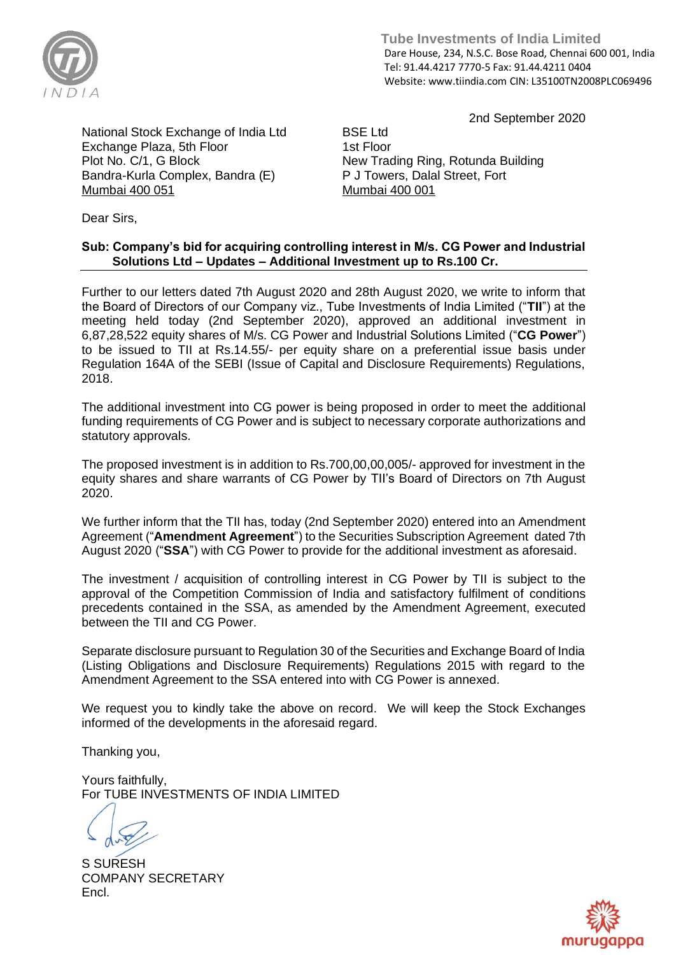

 **Tube Investments of India Limited**  Dare House, 234, N.S.C. Bose Road, Chennai 600 001, India Tel: 91.44.4217 7770-5 Fax: 91.44.4211 0404 Website: www.tiindia.com CIN: L35100TN2008PLC069496

2nd September 2020

National Stock Exchange of India Ltd Exchange Plaza, 5th Floor Plot No. C/1, G Block Bandra-Kurla Complex, Bandra (E) Mumbai 400 051

BSE Ltd 1st Floor New Trading Ring, Rotunda Building P J Towers, Dalal Street, Fort Mumbai 400 001

Dear Sirs,

## **Sub: Company's bid for acquiring controlling interest in M/s. CG Power and Industrial Solutions Ltd – Updates – Additional Investment up to Rs.100 Cr.**

Further to our letters dated 7th August 2020 and 28th August 2020, we write to inform that the Board of Directors of our Company viz., Tube Investments of India Limited ("**TII**") at the meeting held today (2nd September 2020), approved an additional investment in 6,87,28,522 equity shares of M/s. CG Power and Industrial Solutions Limited ("**CG Power**") to be issued to TII at Rs.14.55/- per equity share on a preferential issue basis under Regulation 164A of the SEBI (Issue of Capital and Disclosure Requirements) Regulations, 2018.

The additional investment into CG power is being proposed in order to meet the additional funding requirements of CG Power and is subject to necessary corporate authorizations and statutory approvals.

The proposed investment is in addition to Rs.700,00,00,005/- approved for investment in the equity shares and share warrants of CG Power by TII's Board of Directors on 7th August 2020.

We further inform that the TII has, today (2nd September 2020) entered into an Amendment Agreement ("**Amendment Agreement**") to the Securities Subscription Agreement dated 7th August 2020 ("**SSA**") with CG Power to provide for the additional investment as aforesaid.

The investment / acquisition of controlling interest in CG Power by TII is subject to the approval of the Competition Commission of India and satisfactory fulfilment of conditions precedents contained in the SSA, as amended by the Amendment Agreement, executed between the TII and CG Power.

Separate disclosure pursuant to Regulation 30 of the Securities and Exchange Board of India (Listing Obligations and Disclosure Requirements) Regulations 2015 with regard to the Amendment Agreement to the SSA entered into with CG Power is annexed.

We request you to kindly take the above on record. We will keep the Stock Exchanges informed of the developments in the aforesaid regard.

Thanking you,

Yours faithfully, For TUBE INVESTMENTS OF INDIA LIMITED

S SURESH COMPANY SECRETARY Encl.

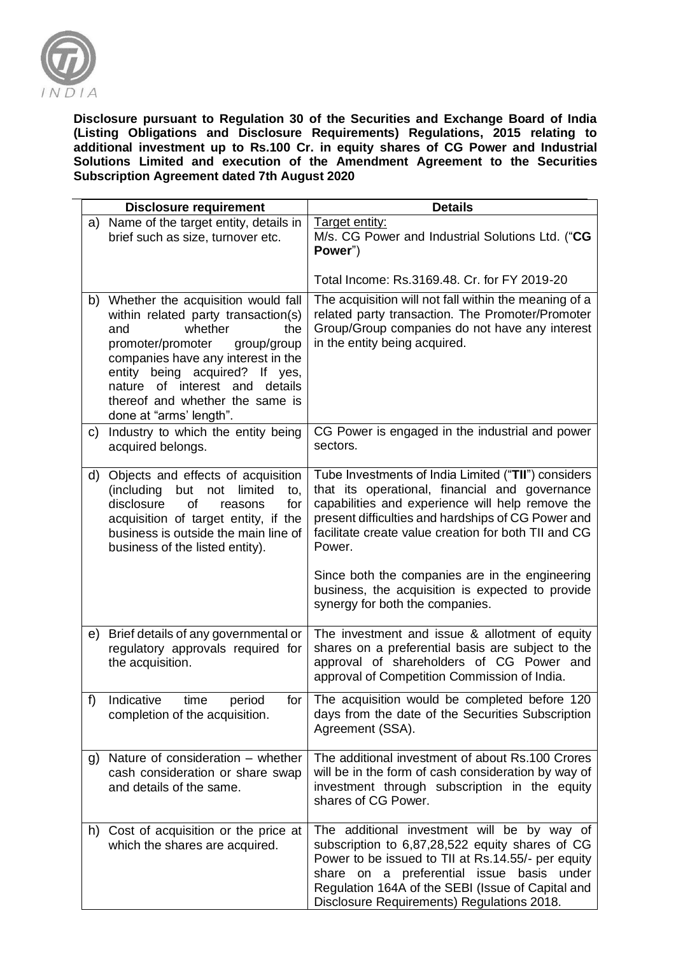

**Disclosure pursuant to Regulation 30 of the Securities and Exchange Board of India (Listing Obligations and Disclosure Requirements) Regulations, 2015 relating to additional investment up to Rs.100 Cr. in equity shares of CG Power and Industrial Solutions Limited and execution of the Amendment Agreement to the Securities Subscription Agreement dated 7th August 2020** 

|    | <b>Disclosure requirement</b>                                                                                                                                                                                                                                                                                  | <b>Details</b>                                                                                                                                                                                                                                                                                                                       |
|----|----------------------------------------------------------------------------------------------------------------------------------------------------------------------------------------------------------------------------------------------------------------------------------------------------------------|--------------------------------------------------------------------------------------------------------------------------------------------------------------------------------------------------------------------------------------------------------------------------------------------------------------------------------------|
|    | a) Name of the target entity, details in<br>brief such as size, turnover etc.                                                                                                                                                                                                                                  | Target entity:<br>M/s. CG Power and Industrial Solutions Ltd. ("CG<br>Power")                                                                                                                                                                                                                                                        |
|    |                                                                                                                                                                                                                                                                                                                | Total Income: Rs.3169.48. Cr. for FY 2019-20                                                                                                                                                                                                                                                                                         |
| b) | Whether the acquisition would fall<br>within related party transaction(s)<br>whether<br>the<br>and<br>promoter/promoter<br>group/group<br>companies have any interest in the<br>entity being acquired? If yes,<br>nature of interest and details<br>thereof and whether the same is<br>done at "arms' length". | The acquisition will not fall within the meaning of a<br>related party transaction. The Promoter/Promoter<br>Group/Group companies do not have any interest<br>in the entity being acquired.                                                                                                                                         |
| C) | Industry to which the entity being<br>acquired belongs.                                                                                                                                                                                                                                                        | CG Power is engaged in the industrial and power<br>sectors.                                                                                                                                                                                                                                                                          |
| d) | Objects and effects of acquisition<br>(including<br>but<br>limited<br>not<br>to,<br>of<br>disclosure<br>for<br>reasons<br>acquisition of target entity, if the<br>business is outside the main line of<br>business of the listed entity).                                                                      | Tube Investments of India Limited ("TII") considers<br>that its operational, financial and governance<br>capabilities and experience will help remove the<br>present difficulties and hardships of CG Power and<br>facilitate create value creation for both TII and CG<br>Power.<br>Since both the companies are in the engineering |
|    |                                                                                                                                                                                                                                                                                                                | business, the acquisition is expected to provide<br>synergy for both the companies.                                                                                                                                                                                                                                                  |
| e) | Brief details of any governmental or<br>regulatory approvals required for<br>the acquisition.                                                                                                                                                                                                                  | The investment and issue & allotment of equity<br>shares on a preferential basis are subject to the<br>approval of shareholders of CG Power and<br>approval of Competition Commission of India.                                                                                                                                      |
| f) | Indicative<br>period<br>time<br>for<br>completion of the acquisition.                                                                                                                                                                                                                                          | The acquisition would be completed before 120<br>days from the date of the Securities Subscription<br>Agreement (SSA).                                                                                                                                                                                                               |
| g) | Nature of consideration – whether<br>cash consideration or share swap<br>and details of the same.                                                                                                                                                                                                              | The additional investment of about Rs.100 Crores<br>will be in the form of cash consideration by way of<br>investment through subscription in the equity<br>shares of CG Power.                                                                                                                                                      |
| h) | Cost of acquisition or the price at<br>which the shares are acquired.                                                                                                                                                                                                                                          | The additional investment will be by way of<br>subscription to 6,87,28,522 equity shares of CG<br>Power to be issued to TII at Rs.14.55/- per equity<br>share on a preferential issue<br>basis under<br>Regulation 164A of the SEBI (Issue of Capital and<br>Disclosure Requirements) Regulations 2018.                              |